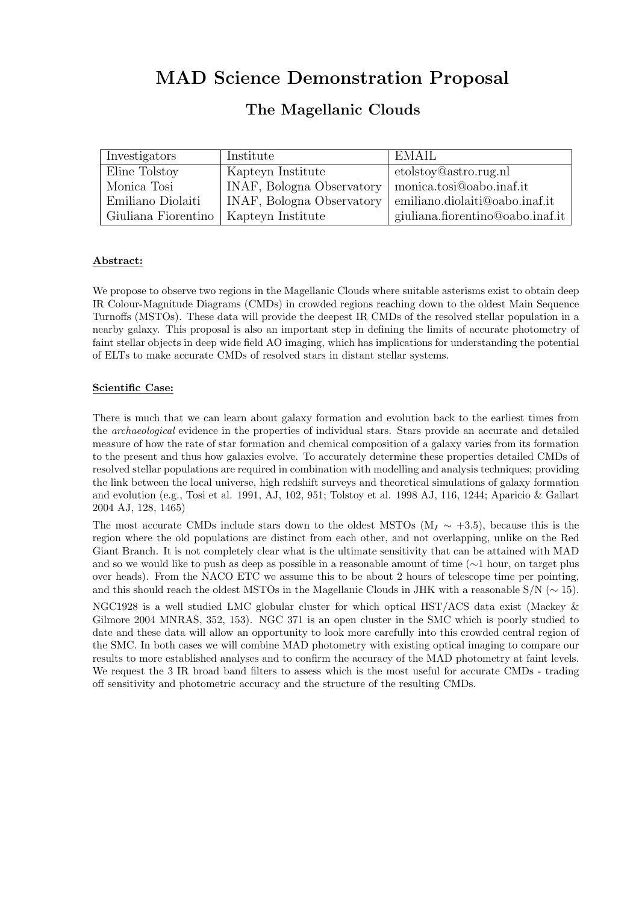# MAD Science Demonstration Proposal

# The Magellanic Clouds

| Investigators       | Institute                 | - EMAIL                              |
|---------------------|---------------------------|--------------------------------------|
| Eline Tolstoy       | Kapteyn Institute         | etolstoy@astro.rug.nl                |
| Monica Tosi         | INAF, Bologna Observatory | monica.tosi@oabo.inaf.it             |
| Emiliano Diolaiti   | INAF, Bologna Observatory | emiliano.diolaiti@oabo.inaf.it       |
| Giuliana Fiorentino | Kapteyn Institute         | giuliana.fiorentino@oabo.inaf.it $ $ |

### Abstract:

We propose to observe two regions in the Magellanic Clouds where suitable asterisms exist to obtain deep IR Colour-Magnitude Diagrams (CMDs) in crowded regions reaching down to the oldest Main Sequence Turnoffs (MSTOs). These data will provide the deepest IR CMDs of the resolved stellar population in a nearby galaxy. This proposal is also an important step in defining the limits of accurate photometry of faint stellar objects in deep wide field AO imaging, which has implications for understanding the potential of ELTs to make accurate CMDs of resolved stars in distant stellar systems.

#### Scientific Case:

There is much that we can learn about galaxy formation and evolution back to the earliest times from the archaeological evidence in the properties of individual stars. Stars provide an accurate and detailed measure of how the rate of star formation and chemical composition of a galaxy varies from its formation to the present and thus how galaxies evolve. To accurately determine these properties detailed CMDs of resolved stellar populations are required in combination with modelling and analysis techniques; providing the link between the local universe, high redshift surveys and theoretical simulations of galaxy formation and evolution (e.g., Tosi et al. 1991, AJ, 102, 951; Tolstoy et al. 1998 AJ, 116, 1244; Aparicio & Gallart 2004 AJ, 128, 1465)

The most accurate CMDs include stars down to the oldest MSTOs (M<sub>I</sub>  $\sim$  +3.5), because this is the region where the old populations are distinct from each other, and not overlapping, unlike on the Red Giant Branch. It is not completely clear what is the ultimate sensitivity that can be attained with MAD and so we would like to push as deep as possible in a reasonable amount of time (∼1 hour, on target plus over heads). From the NACO ETC we assume this to be about 2 hours of telescope time per pointing, and this should reach the oldest MSTOs in the Magellanic Clouds in JHK with a reasonable S/N (∼ 15).

NGC1928 is a well studied LMC globular cluster for which optical HST/ACS data exist (Mackey & Gilmore 2004 MNRAS, 352, 153). NGC 371 is an open cluster in the SMC which is poorly studied to date and these data will allow an opportunity to look more carefully into this crowded central region of the SMC. In both cases we will combine MAD photometry with existing optical imaging to compare our results to more established analyses and to confirm the accuracy of the MAD photometry at faint levels. We request the 3 IR broad band filters to assess which is the most useful for accurate CMDs - trading off sensitivity and photometric accuracy and the structure of the resulting CMDs.